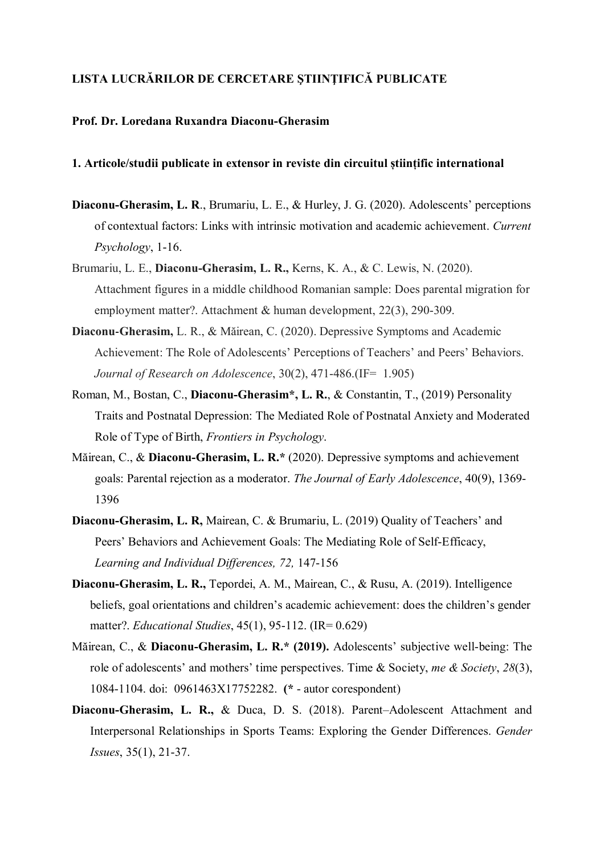# **LISTA LUCRĂRILOR DE CERCETARE ŞTIINŢIFICĂ PUBLICATE**

### **Prof. Dr. Loredana Ruxandra Diaconu-Gherasim**

## **1. Articole/studii publicate in extensor in reviste din circuitul științific international**

- **Diaconu-Gherasim, L. R**., Brumariu, L. E., & Hurley, J. G. (2020). Adolescents' perceptions of contextual factors: Links with intrinsic motivation and academic achievement. *Current Psychology*, 1-16.
- Brumariu, L. E., **Diaconu-Gherasim, L. R.,** Kerns, K. A., & C. Lewis, N. (2020). Attachment figures in a middle childhood Romanian sample: Does parental migration for employment matter?. Attachment & human development, 22(3), 290-309.
- **Diaconu**‐**Gherasim,** L. R., & Măirean, C. (2020). Depressive Symptoms and Academic Achievement: The Role of Adolescents' Perceptions of Teachers' and Peers' Behaviors. *Journal of Research on Adolescence*, 30(2), 471-486.(IF= 1.905)
- Roman, M., Bostan, C., **Diaconu-Gherasim\*, L. R.**, & Constantin, T., (2019) Personality Traits and Postnatal Depression: The Mediated Role of Postnatal Anxiety and Moderated Role of Type of Birth, *Frontiers in Psychology*.
- Măirean, C., & **Diaconu-Gherasim, L. R.\*** (2020). Depressive symptoms and achievement goals: Parental rejection as a moderator. *The Journal of Early Adolescence*, 40(9), 1369- 1396
- **Diaconu-Gherasim, L. R,** Mairean, C. & Brumariu, L. (2019) Quality of Teachers' and Peers' Behaviors and Achievement Goals: The Mediating Role of Self-Efficacy, *Learning and Individual Differences, 72,* 147-156
- **Diaconu-Gherasim, L. R.,** Tepordei, A. M., Mairean, C., & Rusu, A. (2019). Intelligence beliefs, goal orientations and children's academic achievement: does the children's gender matter?. *Educational Studies*, 45(1), 95-112. (IR= 0.629)
- Măirean, C., & **Diaconu-Gherasim, L. R.\* (2019).** Adolescents' subjective well-being: The role of adolescents' and mothers' time perspectives. Time & Society, *me & Society*, *28*(3), 1084-1104. doi: 0961463X17752282. **(\*** - autor corespondent)
- **Diaconu-Gherasim, L. R.,** & Duca, D. S. (2018). Parent–Adolescent Attachment and Interpersonal Relationships in Sports Teams: Exploring the Gender Differences. *Gender Issues*, 35(1), 21-37.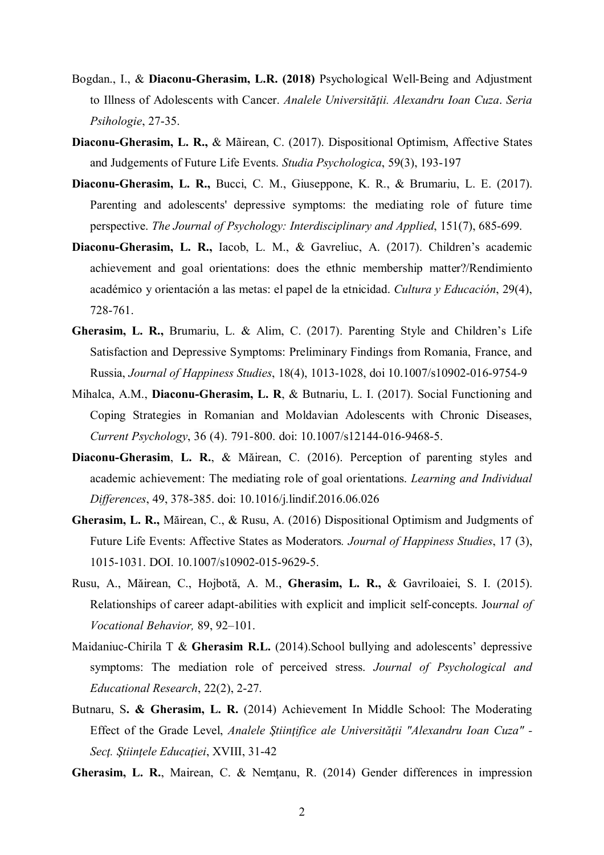- Bogdan., I., & **Diaconu-Gherasim, L.R. (2018)** Psychological Well-Being and Adjustment to Illness of Adolescents with Cancer. *Analele Universităţii. Alexandru Ioan Cuza*. *Seria Psihologie*, 27-35.
- **Diaconu-Gherasim, L. R.,** & Mãirean, C. (2017). Dispositional Optimism, Affective States and Judgements of Future Life Events. *Studia Psychologica*, 59(3), 193-197
- **Diaconu-Gherasim, L. R.,** Bucci, C. M., Giuseppone, K. R., & Brumariu, L. E. (2017). Parenting and adolescents' depressive symptoms: the mediating role of future time perspective. *The Journal of Psychology: Interdisciplinary and Applied*, 151(7), 685-699.
- **Diaconu-Gherasim, L. R.,** Iacob, L. M., & Gavreliuc, A. (2017). Children's academic achievement and goal orientations: does the ethnic membership matter?/Rendimiento académico y orientación a las metas: el papel de la etnicidad. *Cultura y Educación*, 29(4), 728-761.
- **Gherasim, L. R.,** Brumariu, L. & Alim, C. (2017). Parenting Style and Children's Life Satisfaction and Depressive Symptoms: Preliminary Findings from Romania, France, and Russia, *Journal of Happiness Studies*, 18(4), 1013-1028, doi 10.1007/s10902-016-9754-9
- Mihalca, A.M., **Diaconu-Gherasim, L. R**, & Butnariu, L. I. (2017). Social Functioning and Coping Strategies in Romanian and Moldavian Adolescents with Chronic Diseases, *Current Psychology*, 36 (4). 791-800. doi: 10.1007/s12144-016-9468-5.
- **Diaconu-Gherasim**, **L. R.**, & Măirean, C. (2016). Perception of parenting styles and academic achievement: The mediating role of goal orientations. *Learning and Individual Differences*, 49, 378-385. doi: 10.1016/j.lindif.2016.06.026
- **Gherasim, L. R.,** Măirean, C., & Rusu, A. (2016) Dispositional Optimism and Judgments of Future Life Events: Affective States as Moderators*. Journal of Happiness Studies*, 17 (3), 1015-1031. DOI. 10.1007/s10902-015-9629-5.
- Rusu, A., Măirean, C., Hojbotă, A. M., **Gherasim, L. R.,** & Gavriloaiei, S. I. (2015). Relationships of career adapt-abilities with explicit and implicit self-concepts. Jo*urnal of Vocational Behavior,* 89, 92–101.
- Maidaniuc-Chirila T & **Gherasim R.L.** (2014).School bullying and adolescents' depressive symptoms: The mediation role of perceived stress. *Journal of Psychological and Educational Research*, 22(2), 2-27.
- Butnaru, S**. & Gherasim, L. R.** (2014) Achievement In Middle School: The Moderating Effect of the Grade Level, *Analele Stiintifice ale Universității "Alexandru Ioan Cuza"* -*Secţ. Ştiinţele Educaţiei*, XVIII, 31-42
- **Gherasim, L. R.**, Mairean, C. & Nemţanu, R. (2014) Gender differences in impression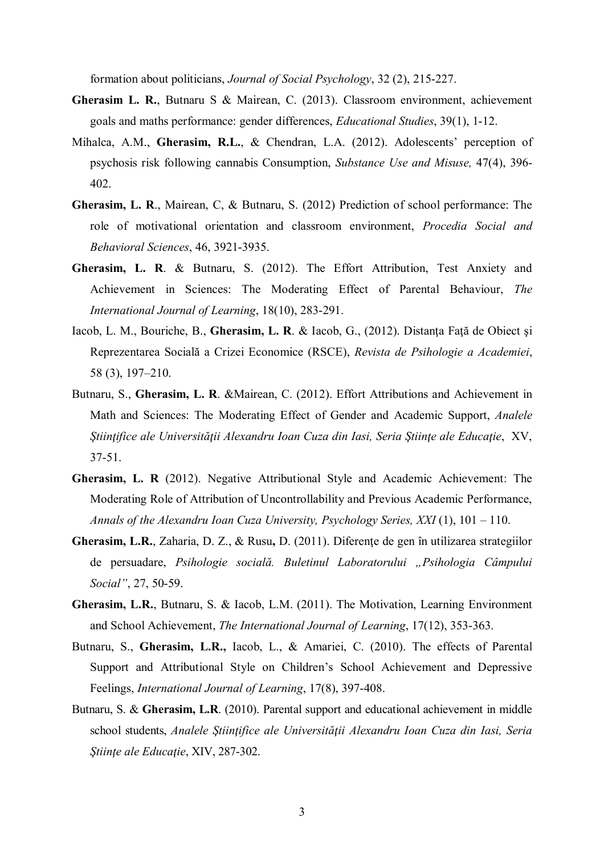formation about politicians, *Journal of Social Psychology*, 32 (2), 215-227.

- **Gherasim L. R.**, Butnaru S & Mairean, C. (2013). Classroom environment, achievement goals and maths performance: gender differences, *Educational Studies*, 39(1), 1-12.
- Mihalca, A.M., **Gherasim, R.L.**, & Chendran, L.A. (2012). Adolescents' perception of psychosis risk following cannabis Consumption, *Substance Use and Misuse,* 47(4), 396- 402.
- **Gherasim, L. R**., Mairean, C, & Butnaru, S. (2012) Prediction of school performance: The role of motivational orientation and classroom environment, *Procedia Social and Behavioral Sciences*, 46, 3921-3935.
- **Gherasim, L. R**. & Butnaru, S. (2012). The Effort Attribution, Test Anxiety and Achievement in Sciences: The Moderating Effect of Parental Behaviour, *The International Journal of Learning*, 18(10), 283-291.
- Iacob, L. M., Bouriche, B., **Gherasim, L. R**. & Iacob, G., (2012). Distanţa Faţă de Obiect şi Reprezentarea Socială a Crizei Economice (RSCE), *Revista de Psihologie a Academiei*, 58 (3), 197–210.
- Butnaru, S., **Gherasim, L. R**. &Mairean, C. (2012). Effort Attributions and Achievement in Math and Sciences: The Moderating Effect of Gender and Academic Support, *Analele Ştiinţifice ale Universităţii Alexandru Ioan Cuza din Iasi, Seria Ştiinţe ale Educaţie*, XV, 37-51.
- **Gherasim, L. R** (2012). Negative Attributional Style and Academic Achievement: The Moderating Role of Attribution of Uncontrollability and Previous Academic Performance, *Annals of the Alexandru Ioan Cuza University, Psychology Series, XXI* (1), 101 – 110.
- Gherasim, L.R., Zaharia, D. Z., & Rusu, D. (2011). Diferente de gen în utilizarea strategiilor de persuadare, *Psihologie socială. Buletinul Laboratorului "Psihologia Câmpului Social"*, 27, 50-59.
- **Gherasim, L.R.**, Butnaru, S. & Iacob, L.M. (2011). The Motivation, Learning Environment and School Achievement, *The International Journal of Learning*, 17(12), 353-363.
- Butnaru, S., **Gherasim, L.R.,** Iacob, L., & Amariei, C. (2010). The effects of Parental Support and Attributional Style on Children's School Achievement and Depressive Feelings, *International Journal of Learning*, 17(8), 397-408.
- Butnaru, S. & **Gherasim, L.R**. (2010). Parental support and educational achievement in middle school students, *Analele Stiintifice ale Universității Alexandru Ioan Cuza din Iasi, Seria Ştiinţe ale Educaţie*, XIV, 287-302.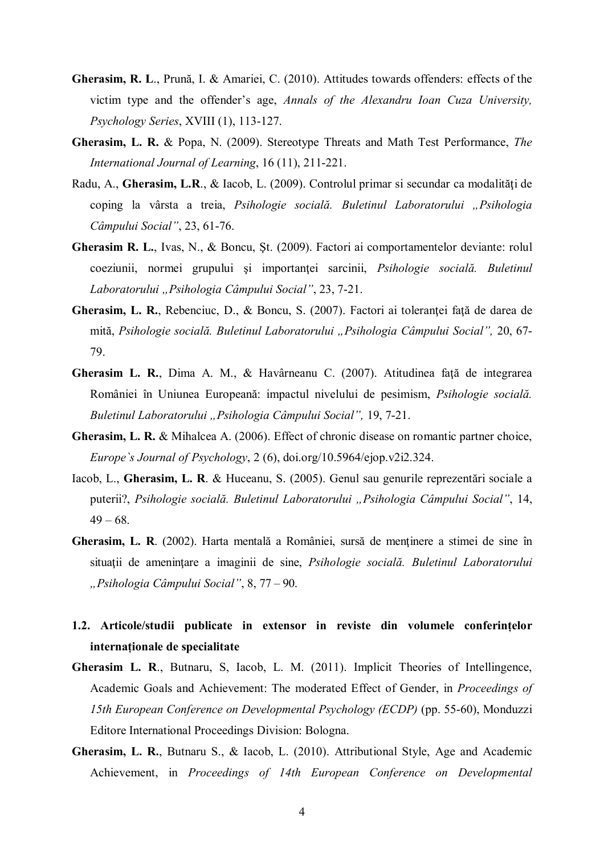- **Gherasim, R. L**., Prună, I. & Amariei, C. (2010). Attitudes towards offenders: effects of the victim type and the offender's age, *Annals of the Alexandru Ioan Cuza University, Psychology Series*, XVIII (1), 113-127.
- **Gherasim, L. R.** & Popa, N. (2009). Stereotype Threats and Math Test Performance, *The International Journal of Learning*, 16 (11), 211-221.
- Radu, A., Gherasim, L.R., & Iacob, L. (2009). Controlul primar si secundar ca modalități de coping la vârsta a treia, *Psihologie socială. Buletinul Laboratorului "Psihologia Câmpului Social"*, 23, 61-76.
- **Gherasim R. L.**, Ivas, N., & Boncu, Şt. (2009). Factori ai comportamentelor deviante: rolul coeziunii, normei grupului şi importanţei sarcinii, *Psihologie socială. Buletinul Laboratorului "Psihologia Câmpului Social"*, 23, 7-21.
- Gherasim, L. R., Rebenciuc, D., & Boncu, S. (2007). Factori ai toleranței față de darea de mită, *Psihologie socială. Buletinul Laboratorului "Psihologia Câmpului Social",* 20, 67- 79.
- Gherasim L. R., Dima A. M., & Havârneanu C. (2007). Atitudinea față de integrarea României în Uniunea Europeană: impactul nivelului de pesimism, *Psihologie socială. Buletinul Laboratorului "Psihologia Câmpului Social",* 19, 7-21.
- **Gherasim, L. R.** & Mihalcea A. (2006). Effect of chronic disease on romantic partner choice, *Europe`s Journal of Psychology*, 2 (6), doi.org/10.5964/ejop.v2i2.324.
- Iacob, L., **Gherasim, L. R**. & Huceanu, S. (2005). Genul sau genurile reprezentări sociale a puterii?, *Psihologie socială. Buletinul Laboratorului "Psihologia Câmpului Social"*, 14,  $49 - 68$ .
- **Gherasim, L. R**. (2002). Harta mentală a României, sursă de mentinere a stimei de sine în situații de amenintare a imaginii de sine, *Psihologie socială*. Buletinul Laboratorului *"Psihologia Câmpului Social"*, 8, 77 – 90.
- **1.2. Articole/studii publicate in extensor in reviste din volumele conferințelor internaționale de specialitate**
- **Gherasim L. R**., Butnaru, S, Iacob, L. M. (2011). Implicit Theories of Intellingence, Academic Goals and Achievement: The moderated Effect of Gender, in *Proceedings of 15th European Conference on Developmental Psychology (ECDP)* (pp. 55-60), Monduzzi Editore International Proceedings Division: Bologna.
- **Gherasim, L. R.**, Butnaru S., & Iacob, L. (2010). Attributional Style, Age and Academic Achievement, in *Proceedings of 14th European Conference on Developmental*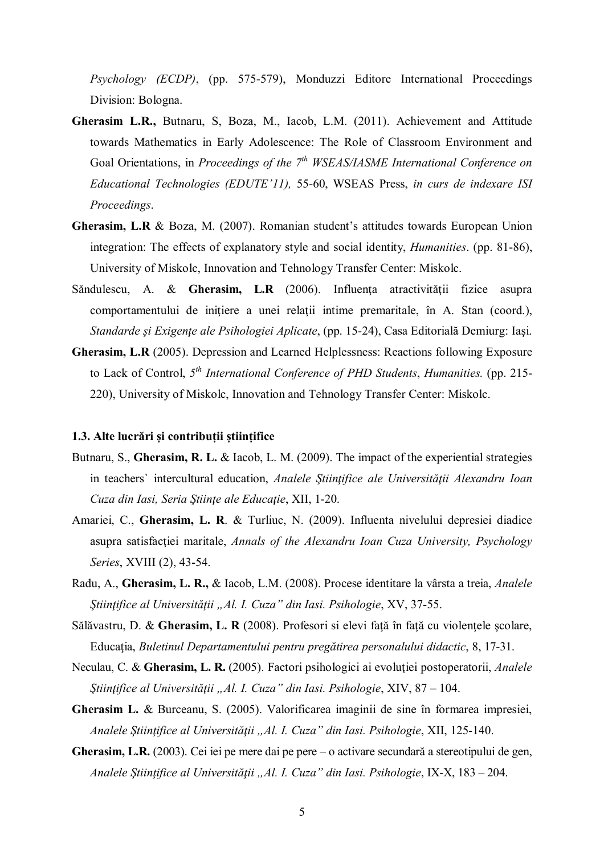*Psychology (ECDP)*, (pp. 575-579), Monduzzi Editore International Proceedings Division: Bologna.

- **Gherasim L.R.,** Butnaru, S, Boza, M., Iacob, L.M. (2011). Achievement and Attitude towards Mathematics in Early Adolescence: The Role of Classroom Environment and Goal Orientations, in *Proceedings of the 7th WSEAS/IASME International Conference on Educational Technologies (EDUTE'11),* 55-60, WSEAS Press, *in curs de indexare ISI Proceedings*.
- **Gherasim, L.R** & Boza, M. (2007). Romanian student's attitudes towards European Union integration: The effects of explanatory style and social identity, *Humanities*. (pp. 81-86), University of Miskolc, Innovation and Tehnology Transfer Center: Miskolc.
- Săndulescu, A. & **Gherasim, L.R** (2006). Influenţa atractivităţii fizice asupra comportamentului de inițiere a unei relații intime premaritale, în A. Stan (coord.), *Standarde şi Exigenţe ale Psihologiei Aplicate*, (pp. 15-24), Casa Editorială Demiurg: Iaşi.
- **Gherasim, L.R** (2005). Depression and Learned Helplessness: Reactions following Exposure to Lack of Control, *5 th International Conference of PHD Students*, *Humanities.* (pp. 215- 220), University of Miskolc, Innovation and Tehnology Transfer Center: Miskolc.

### **1.3. Alte lucrări și contribuții științifice**

- Butnaru, S., **Gherasim, R. L.** & Iacob, L. M. (2009). The impact of the experiential strategies in teachers` intercultural education, *Analele Ştiinţifice ale Universităţii Alexandru Ioan Cuza din Iasi, Seria Ştiinţe ale Educaţie*, XII, 1-20.
- Amariei, C., **Gherasim, L. R**. & Turliuc, N. (2009). Influenta nivelului depresiei diadice asupra satisfacţiei maritale, *Annals of the Alexandru Ioan Cuza University, Psychology Series*, XVIII (2), 43-54.
- Radu, A., **Gherasim, L. R.,** & Iacob, L.M. (2008). Procese identitare la vârsta a treia, *Analele Ştiinţifice al Universităţii "Al. I. Cuza" din Iasi. Psihologie*, XV, 37-55.
- Sălăvastru, D. & **Gherasim, L. R** (2008). Profesori si elevi faţă în faţă cu violenţele şcolare, Educaţia, *Buletinul Departamentului pentru pregătirea personalului didactic*, 8, 17-31.
- Neculau, C. & **Gherasim, L. R.** (2005). Factori psihologici ai evoluţiei postoperatorii, *Analele Ştiinţifice al Universităţii "Al. I. Cuza" din Iasi. Psihologie*, XIV, 87 – 104.
- **Gherasim L.** & Burceanu, S. (2005). Valorificarea imaginii de sine în formarea impresiei, *Analele Ştiinţifice al Universităţii "Al. I. Cuza" din Iasi. Psihologie*, XII, 125-140.
- **Gherasim, L.R.** (2003). Cei iei pe mere dai pe pere o activare secundară a stereotipului de gen, *Analele Ştiinţifice al Universităţii "Al. I. Cuza" din Iasi. Psihologie*, IX-X, 183 – 204.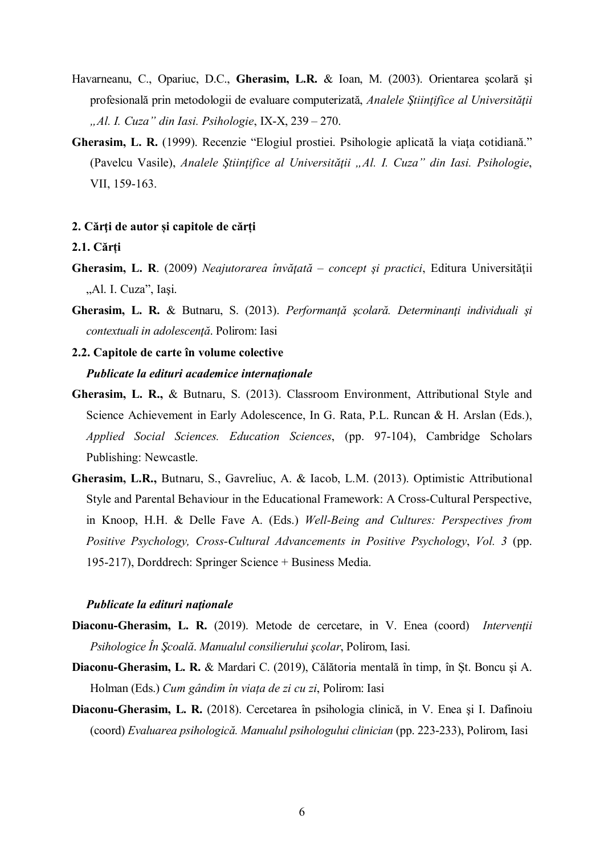- Havarneanu, C., Opariuc, D.C., **Gherasim, L.R.** & Ioan, M. (2003). Orientarea şcolară şi profesională prin metodologii de evaluare computerizată, *Analele Ştiinţifice al Universităţii "Al. I. Cuza" din Iasi. Psihologie*, IX-X, 239 – 270.
- **Gherasim, L. R.** (1999). Recenzie "Elogiul prostiei. Psihologie aplicată la viaţa cotidiană." (Pavelcu Vasile), *Analele Ştiinţifice al Universităţii "Al. I. Cuza" din Iasi. Psihologie*, VII, 159-163.

#### **2. Cărţi de autor și capitole de cărți**

### **2.1. Cărți**

- **Gherasim, L. R**. (2009) *Neajutorarea învăţată concept şi practici*, Editura Universităţii "Al. I. Cuza", Iași.
- **Gherasim, L. R.** & Butnaru, S. (2013). *Performanţă şcolară. Determinanţi individuali şi contextuali in adolescenţă*. Polirom: Iasi
- **2.2. Capitole de carte în volume colective**  *Publicate la edituri academice internaţionale*
- **Gherasim, L. R.,** & Butnaru, S. (2013). Classroom Environment, Attributional Style and Science Achievement in Early Adolescence, In G. Rata, P.L. Runcan & H. Arslan (Eds.), *Applied Social Sciences. Education Sciences*, (pp. 97-104), Cambridge Scholars Publishing: Newcastle.
- **Gherasim, L.R.,** Butnaru, S., Gavreliuc, A. & Iacob, L.M. (2013). Optimistic Attributional Style and Parental Behaviour in the Educational Framework: A Cross-Cultural Perspective, in Knoop, H.H. & Delle Fave A. (Eds.) *Well-Being and Cultures: Perspectives from Positive Psychology, Cross-Cultural Advancements in Positive Psychology*, *Vol. 3* (pp. 195-217), Dorddrech: Springer Science + Business Media.

### *Publicate la edituri naţionale*

- **Diaconu-Gherasim, L. R.** (2019). Metode de cercetare, in V. Enea (coord) *Intervenţii Psihologice În Şcoală*. *Manualul consilierului şcolar*, Polirom, Iasi.
- **Diaconu-Gherasim, L. R.** & Mardari C. (2019), Călătoria mentală în timp, în Şt. Boncu şi A. Holman (Eds.) *Cum gândim în viața de zi cu zi*, Polirom: Iasi
- **Diaconu-Gherasim, L. R.** (2018). Cercetarea în psihologia clinică, in V. Enea şi I. Dafinoiu (coord) *Evaluarea psihologică. Manualul psihologului clinician* (pp. 223-233), Polirom, Iasi